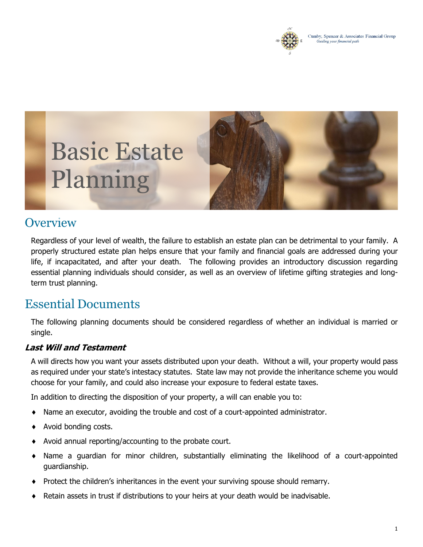

# Basic Estate Planning



## **Overview**

Regardless of your level of wealth, the failure to establish an estate plan can be detrimental to your family. A properly structured estate plan helps ensure that your family and financial goals are addressed during your life, if incapacitated, and after your death. The following provides an introductory discussion regarding essential planning individuals should consider, as well as an overview of lifetime gifting strategies and longterm trust planning.

## Essential Documents

The following planning documents should be considered regardless of whether an individual is married or single.

#### *Last Will and Testament*

A will directs how you want your assets distributed upon your death. Without a will, your property would pass as required under your state's intestacy statutes. State law may not provide the inheritance scheme you would choose for your family, and could also increase your exposure to federal estate taxes.

In addition to directing the disposition of your property, a will can enable you to:

- ♦ Name an executor, avoiding the trouble and cost of a court-appointed administrator.
- ♦ Avoid bonding costs.
- ♦ Avoid annual reporting/accounting to the probate court.
- ♦ Name a guardian for minor children, substantially eliminating the likelihood of a court-appointed guardianship.
- Protect the children's inheritances in the event your surviving spouse should remarry.
- Retain assets in trust if distributions to your heirs at your death would be inadvisable.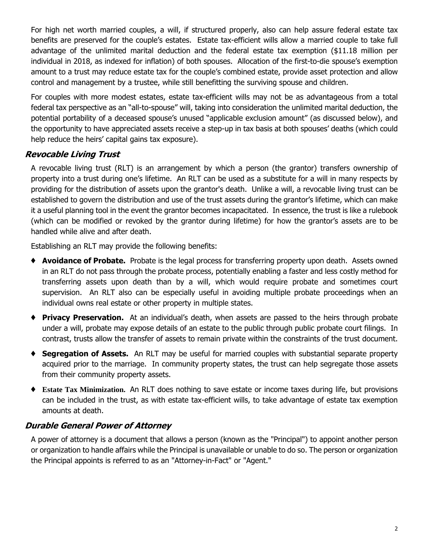For high net worth married couples, a will, if structured properly, also can help assure federal estate tax benefits are preserved for the couple's estates. Estate tax-efficient wills allow a married couple to take full advantage of the unlimited marital deduction and the federal estate tax exemption (\$11.18 million per individual in 2018, as indexed for inflation) of both spouses. Allocation of the first-to-die spouse's exemption amount to a trust may reduce estate tax for the couple's combined estate, provide asset protection and allow control and management by a trustee, while still benefitting the surviving spouse and children.

For couples with more modest estates, estate tax-efficient wills may not be as advantageous from a total federal tax perspective as an "all-to-spouse" will, taking into consideration the unlimited marital deduction, the potential portability of a deceased spouse's unused "applicable exclusion amount" (as discussed below), and the opportunity to have appreciated assets receive a step-up in tax basis at both spouses' deaths (which could help reduce the heirs' capital gains tax exposure).

#### *Revocable Living Trust*

A revocable living trust (RLT) is an arrangement by which a person (the grantor) transfers ownership of property into a trust during one's lifetime. An RLT can be used as a substitute for a will in many respects by providing for the distribution of assets upon the grantor's death. Unlike a will, a revocable living trust can be established to govern the distribution and use of the trust assets during the grantor's lifetime, which can make it a useful planning tool in the event the grantor becomes incapacitated. In essence, the trust is like a rulebook (which can be modified or revoked by the grantor during lifetime) for how the grantor's assets are to be handled while alive and after death.

Establishing an RLT may provide the following benefits:

- ♦ **Avoidance of Probate.** Probate is the legal process for transferring property upon death. Assets owned in an RLT do not pass through the probate process, potentially enabling a faster and less costly method for transferring assets upon death than by a will, which would require probate and sometimes court supervision. An RLT also can be especially useful in avoiding multiple probate proceedings when an individual owns real estate or other property in multiple states.
- ♦ **Privacy Preservation.** At an individual's death, when assets are passed to the heirs through probate under a will, probate may expose details of an estate to the public through public probate court filings. In contrast, trusts allow the transfer of assets to remain private within the constraints of the trust document.
- ♦ **Segregation of Assets.** An RLT may be useful for married couples with substantial separate property acquired prior to the marriage. In community property states, the trust can help segregate those assets from their community property assets.
- ♦ **Estate Tax Minimization.** An RLT does nothing to save estate or income taxes during life, but provisions can be included in the trust, as with estate tax-efficient wills, to take advantage of estate tax exemption amounts at death.

#### *Durable General Power of Attorney*

A power of attorney is a document that allows a person (known as the "Principal") to appoint another person or organization to handle affairs while the Principal is unavailable or unable to do so. The person or organization the Principal appoints is referred to as an "Attorney-in-Fact" or "Agent."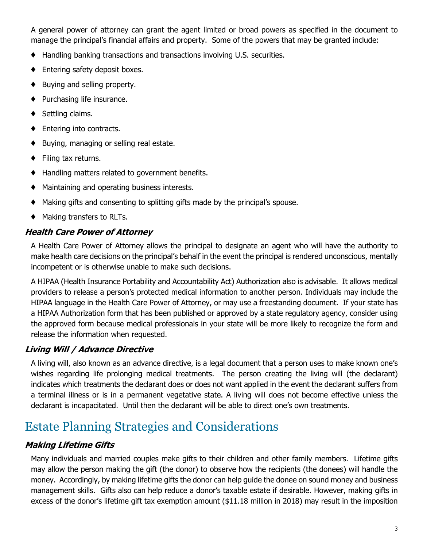A general power of attorney can grant the agent limited or broad powers as specified in the document to manage the principal's financial affairs and property. Some of the powers that may be granted include:

- ♦ Handling banking transactions and transactions involving U.S. securities.
- ♦ Entering safety deposit boxes.
- ♦ Buying and selling property.
- ♦ Purchasing life insurance.
- ♦ Settling claims.
- ♦ Entering into contracts.
- ♦ Buying, managing or selling real estate.
- ♦ Filing tax returns.
- ♦ Handling matters related to government benefits.
- ♦ Maintaining and operating business interests.
- ♦ Making gifts and consenting to splitting gifts made by the principal's spouse.
- ♦ Making transfers to RLTs.

#### *Health Care Power of Attorney*

A Health Care Power of Attorney allows the principal to designate an agent who will have the authority to make health care decisions on the principal's behalf in the event the principal is rendered unconscious, mentally incompetent or is otherwise unable to make such decisions.

A HIPAA (Health Insurance Portability and Accountability Act) Authorization also is advisable. It allows medical providers to release a person's protected medical information to another person. Individuals may include the HIPAA language in the Health Care Power of Attorney, or may use a freestanding document. If your state has a HIPAA Authorization form that has been published or approved by a state regulatory agency, consider using the approved form because medical professionals in your state will be more likely to recognize the form and release the information when requested.

#### *Living Will / Advance Directive*

A living will, also known as an advance directive, is a legal document that a person uses to make known one's wishes regarding life prolonging medical treatments. The person creating the living will (the declarant) indicates which treatments the declarant does or does not want applied in the event the declarant suffers from a terminal illness or is in a permanent vegetative state. A living will does not become effective unless the declarant is incapacitated. Until then the declarant will be able to direct one's own treatments.

## Estate Planning Strategies and Considerations

#### *Making Lifetime Gifts*

Many individuals and married couples make gifts to their children and other family members. Lifetime gifts may allow the person making the gift (the donor) to observe how the recipients (the donees) will handle the money. Accordingly, by making lifetime gifts the donor can help guide the donee on sound money and business management skills. Gifts also can help reduce a donor's taxable estate if desirable. However, making gifts in excess of the donor's lifetime gift tax exemption amount (\$11.18 million in 2018) may result in the imposition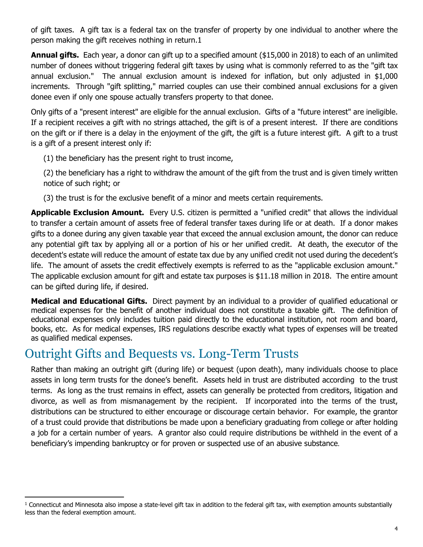of gift taxes. A gift tax is a federal tax on the transfer of property by one individual to another where the person making the gift receives nothing in return.1

**Annual gifts.** Each year, a donor can gift up to a specified amount (\$15,000 in 2018) to each of an unlimited number of donees without triggering federal gift taxes by using what is commonly referred to as the "gift tax annual exclusion." The annual exclusion amount is indexed for inflation, but only adjusted in \$1,000 increments. Through "gift splitting," married couples can use their combined annual exclusions for a given donee even if only one spouse actually transfers property to that donee.

Only gifts of a "present interest" are eligible for the annual exclusion. Gifts of a "future interest" are ineligible. If a recipient receives a gift with no strings attached, the gift is of a present interest. If there are conditions on the gift or if there is a delay in the enjoyment of the gift, the gift is a future interest gift. A gift to a trust is a gift of a present interest only if:

(1) the beneficiary has the present right to trust income,

(2) the beneficiary has a right to withdraw the amount of the gift from the trust and is given timely written notice of such right; or

(3) the trust is for the exclusive benefit of a minor and meets certain requirements.

**Applicable Exclusion Amount.** Every U.S. citizen is permitted a "unified credit" that allows the individual to transfer a certain amount of assets free of federal transfer taxes during life or at death. If a donor makes gifts to a donee during any given taxable year that exceed the annual exclusion amount, the donor can reduce any potential gift tax by applying all or a portion of his or her unified credit. At death, the executor of the decedent's estate will reduce the amount of estate tax due by any unified credit not used during the decedent's life. The amount of assets the credit effectively exempts is referred to as the "applicable exclusion amount." The applicable exclusion amount for gift and estate tax purposes is \$11.18 million in 2018. The entire amount can be gifted during life, if desired.

**Medical and Educational Gifts.** Direct payment by an individual to a provider of qualified educational or medical expenses for the benefit of another individual does not constitute a taxable gift. The definition of educational expenses only includes tuition paid directly to the educational institution, not room and board, books, etc. As for medical expenses, IRS regulations describe exactly what types of expenses will be treated as qualified medical expenses.

# Outright Gifts and Bequests vs. Long-Term Trusts

Rather than making an outright gift (during life) or bequest (upon death), many individuals choose to place assets in long term trusts for the donee's benefit. Assets held in trust are distributed according to the trust terms. As long as the trust remains in effect, assets can generally be protected from creditors, litigation and divorce, as well as from mismanagement by the recipient. If incorporated into the terms of the trust, distributions can be structured to either encourage or discourage certain behavior. For example, the grantor of a trust could provide that distributions be made upon a beneficiary graduating from college or after holding a job for a certain number of years. A grantor also could require distributions be withheld in the event of a beneficiary's impending bankruptcy or for proven or suspected use of an abusive substance.

 $1$  Connecticut and Minnesota also impose a state-level gift tax in addition to the federal gift tax, with exemption amounts substantially less than the federal exemption amount.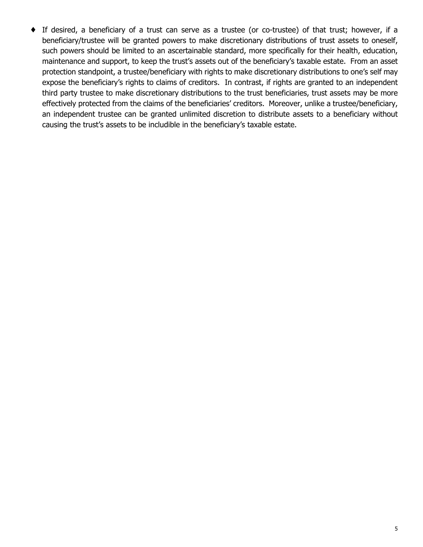♦ If desired, a beneficiary of a trust can serve as a trustee (or co-trustee) of that trust; however, if a beneficiary/trustee will be granted powers to make discretionary distributions of trust assets to oneself, such powers should be limited to an ascertainable standard, more specifically for their health, education, maintenance and support, to keep the trust's assets out of the beneficiary's taxable estate. From an asset protection standpoint, a trustee/beneficiary with rights to make discretionary distributions to one's self may expose the beneficiary's rights to claims of creditors. In contrast, if rights are granted to an independent third party trustee to make discretionary distributions to the trust beneficiaries, trust assets may be more effectively protected from the claims of the beneficiaries' creditors. Moreover, unlike a trustee/beneficiary, an independent trustee can be granted unlimited discretion to distribute assets to a beneficiary without causing the trust's assets to be includible in the beneficiary's taxable estate.